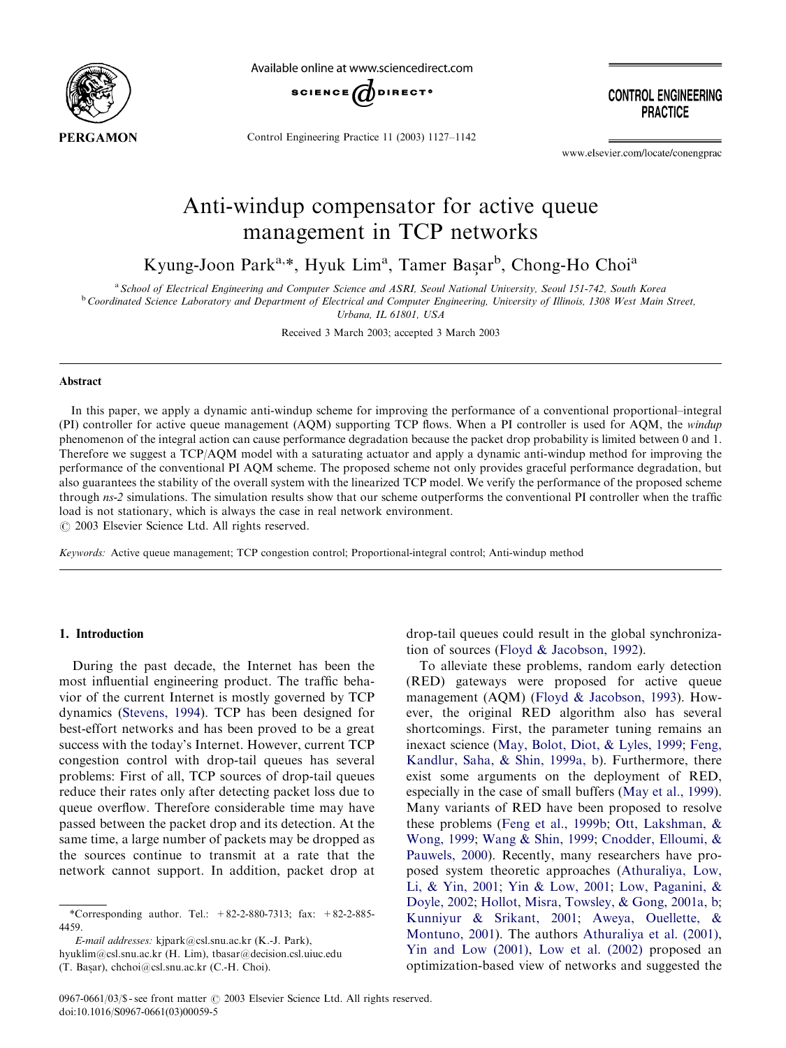

Available online at www.sciencedirect.com



Control Engineering Practice 11 (2003) 1127–1142

**CONTROL ENGINEERING PRACTICE** 

www.elsevier.com/locate/conengprac

# Anti-windup compensator for active queue management in TCP networks

Kyung-Joon Park<sup>a,\*</sup>, Hyuk Lim<sup>a</sup>, Tamer Başar<sup>b</sup>, Chong-Ho Choi<sup>a</sup>

a<br>
a School of Electrical Engineering and Computer Science and ASRI, Seoul National University, Seoul 151-742, South Korea

<sup>b</sup> Coordinated Science Laboratory and Department of Electrical and Computer Engineering, University of Illinois, 1308 West Main Street,

Urbana, IL 61801, USA

Received 3 March 2003; accepted 3 March 2003

#### Abstract

In this paper, we apply a dynamic anti-windup scheme for improving the performance of a conventional proportional–integral (PI) controller for active queue management (AQM) supporting TCP flows. When a PI controller is used for AQM, the windup phenomenon of the integral action can cause performance degradation because the packet drop probability is limited between 0 and 1. Therefore we suggest a TCP/AQM model with a saturating actuator and apply a dynamic anti-windup method for improving the performance of the conventional PI AQM scheme. The proposed scheme not only provides graceful performance degradation, but also guarantees the stability of the overall system with the linearized TCP model. We verify the performance of the proposed scheme through ns-2 simulations. The simulation results show that our scheme outperforms the conventional PI controller when the traffic load is not stationary, which is always the case in real network environment.

 $\odot$  2003 Elsevier Science Ltd. All rights reserved.

Keywords: Active queue management; TCP congestion control; Proportional-integral control; Anti-windup method

# 1. Introduction

During the past decade, the Internet has been the most influential engineering product. The traffic behavior of the current Internet is mostly governed by TCP dynamics ([Stevens, 1994\)](#page-15-0). TCP has been designed for best-effort networks and has been proved to be a great success with the today's Internet. However, current TCP congestion control with drop-tail queues has several problems: First of all, TCP sources of drop-tail queues reduce their rates only after detecting packet loss due to queue overflow. Therefore considerable time may have passed between the packet drop and its detection. At the same time, a large number of packets may be dropped as the sources continue to transmit at a rate that the network cannot support. In addition, packet drop at

E-mail addresses: kjpark@csl.snu.ac.kr (K.-J. Park),

hyuklim@csl.snu.ac.kr (H. Lim), tbasar@decision.csl.uiuc.edu

(T. Başar), chchoi@csl.snu.ac.kr (C.-H. Choi).

drop-tail queues could result in the global synchronization of sources [\(Floyd & Jacobson, 1992\)](#page-15-0).

To alleviate these problems, random early detection (RED) gateways were proposed for active queue management (AQM) ([Floyd & Jacobson, 1993\)](#page-15-0). However, the original RED algorithm also has several shortcomings. First, the parameter tuning remains an inexact science [\(May, Bolot, Diot, & Lyles, 1999;](#page-15-0) [Feng,](#page-15-0) [Kandlur, Saha, & Shin, 1999a, b\)](#page-15-0). Furthermore, there exist some arguments on the deployment of RED, especially in the case of small buffers ([May et al., 1999\)](#page-15-0). Many variants of RED have been proposed to resolve these problems ([Feng et al., 1999b;](#page-15-0) [Ott, Lakshman,](#page-15-0) & [Wong, 1999;](#page-15-0) [Wang](#page-15-0) & [Shin, 1999](#page-15-0); [Cnodder, Elloumi,](#page-15-0) & [Pauwels, 2000\)](#page-15-0). Recently, many researchers have proposed system theoretic approaches ([Athuraliya, Low,](#page-15-0) [Li, & Yin, 2001](#page-15-0); [Yin & Low, 2001](#page-15-0); [Low, Paganini,](#page-15-0) & [Doyle, 2002;](#page-15-0) [Hollot, Misra, Towsley, & Gong, 2001a, b](#page-15-0); [Kunniyur](#page-15-0) [& Srikant, 2001](#page-15-0); [Aweya, Ouellette,](#page-15-0) & [Montuno, 2001](#page-15-0)). The authors [Athuraliya et al. \(2001\)](#page-15-0), [Yin and Low \(2001\),](#page-15-0) [Low et al. \(2002\)](#page-15-0) proposed an optimization-based view of networks and suggested the

<sup>\*</sup>Corresponding author. Tel.: +82-2-880-7313; fax: +82-2-885- 4459.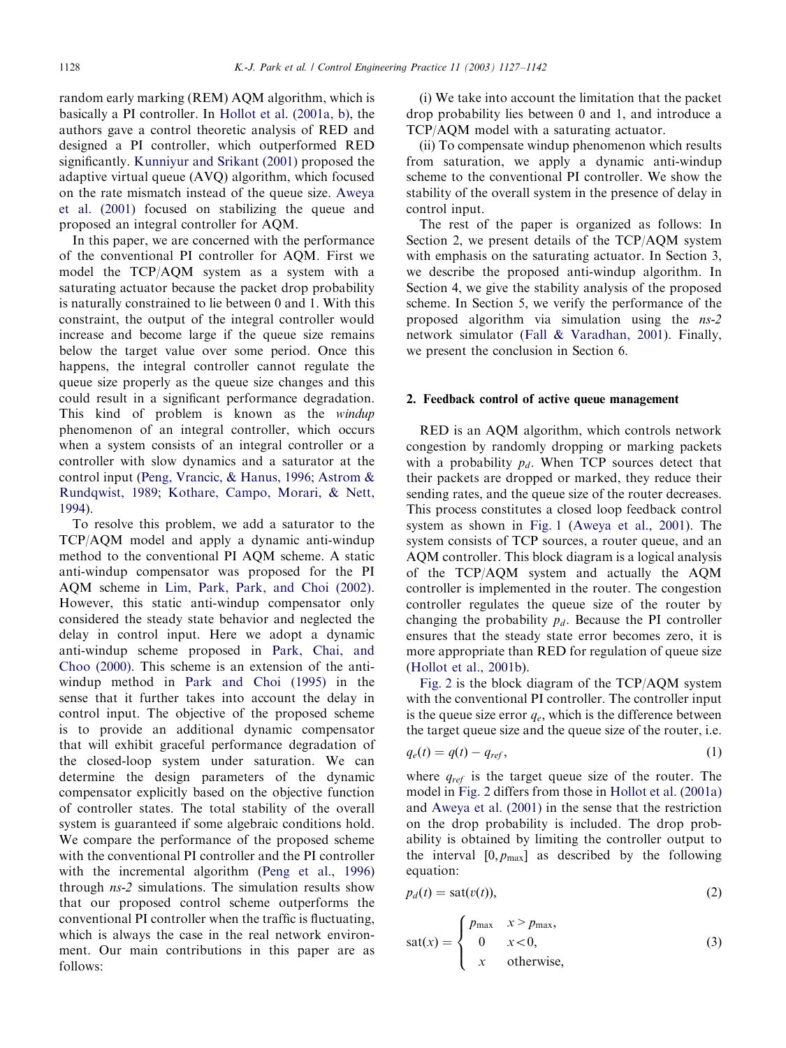random early marking (REM) AQM algorithm, which is basically a PI controller. In [Hollot et al. \(2001a, b\),](#page-15-0) the authors gave a control theoretic analysis of RED and designed a PI controller, which outperformed RED significantly. [Kunniyur and Srikant \(2001\)](#page-15-0) proposed the adaptive virtual queue (AVQ) algorithm, which focused on the rate mismatch instead of the queue size. [Aweya](#page-15-0) [et al. \(2001\)](#page-15-0) focused on stabilizing the queue and proposed an integral controller for AQM.

In this paper, we are concerned with the performance of the conventional PI controller for AQM. First we model the TCP/AQM system as a system with a saturating actuator because the packet drop probability is naturally constrained to lie between 0 and 1. With this constraint, the output of the integral controller would increase and become large if the queue size remains below the target value over some period. Once this happens, the integral controller cannot regulate the queue size properly as the queue size changes and this could result in a significant performance degradation. This kind of problem is known as the *windup* phenomenon of an integral controller, which occurs when a system consists of an integral controller or a controller with slow dynamics and a saturator at the control input ([Peng, Vrancic, & Hanus, 1996;](#page-15-0) [Astrom](#page-15-0) & [Rundqwist, 1989;](#page-15-0) [Kothare, Campo, Morari,](#page-15-0) & [Nett,](#page-15-0) [1994\)](#page-15-0).

To resolve this problem, we add a saturator to the TCP/AQM model and apply a dynamic anti-windup method to the conventional PI AQM scheme. A static anti-windup compensator was proposed for the PI AQM scheme in [Lim, Park, Park, and Choi \(2002\)](#page-15-0). However, this static anti-windup compensator only considered the steady state behavior and neglected the delay in control input. Here we adopt a dynamic anti-windup scheme proposed in [Park, Chai, and](#page-15-0) [Choo \(2000\)](#page-15-0). This scheme is an extension of the antiwindup method in [Park and Choi \(1995\)](#page-15-0) in the sense that it further takes into account the delay in control input. The objective of the proposed scheme is to provide an additional dynamic compensator that will exhibit graceful performance degradation of the closed-loop system under saturation. We can determine the design parameters of the dynamic compensator explicitly based on the objective function of controller states. The total stability of the overall system is guaranteed if some algebraic conditions hold. We compare the performance of the proposed scheme with the conventional PI controller and the PI controller with the incremental algorithm ([Peng et al., 1996\)](#page-15-0) through ns-2 simulations. The simulation results show that our proposed control scheme outperforms the conventional PI controller when the traffic is fluctuating, which is always the case in the real network environment. Our main contributions in this paper are as follows:

(i) We take into account the limitation that the packet drop probability lies between 0 and 1, and introduce a TCP/AQM model with a saturating actuator.

(ii) To compensate windup phenomenon which results from saturation, we apply a dynamic anti-windup scheme to the conventional PI controller. We show the stability of the overall system in the presence of delay in control input.

The rest of the paper is organized as follows: In Section 2, we present details of the TCP/AQM system with emphasis on the saturating actuator. In Section 3, we describe the proposed anti-windup algorithm. In Section 4, we give the stability analysis of the proposed scheme. In Section 5, we verify the performance of the proposed algorithm via simulation using the ns-2 network simulator [\(Fall & Varadhan, 2001\)](#page-15-0). Finally, we present the conclusion in Section 6.

#### 2. Feedback control of active queue management

RED is an AQM algorithm, which controls network congestion by randomly dropping or marking packets with a probability  $p_d$ . When TCP sources detect that their packets are dropped or marked, they reduce their sending rates, and the queue size of the router decreases. This process constitutes a closed loop feedback control system as shown in [Fig. 1](#page-2-0) [\(Aweya et al., 2001](#page-15-0)). The system consists of TCP sources, a router queue, and an AQM controller. This block diagram is a logical analysis of the TCP/AQM system and actually the AQM controller is implemented in the router. The congestion controller regulates the queue size of the router by changing the probability  $p_d$ . Because the PI controller ensures that the steady state error becomes zero, it is more appropriate than RED for regulation of queue size [\(Hollot et al., 2001b](#page-15-0)).

[Fig. 2](#page-2-0) is the block diagram of the TCP/AQM system with the conventional PI controller. The controller input is the queue size error  $q_e$ , which is the difference between the target queue size and the queue size of the router, i.e.

$$
q_e(t) = q(t) - q_{ref},\tag{1}
$$

where  $q_{ref}$  is the target queue size of the router. The model in [Fig. 2](#page-2-0) differs from those in [Hollot et al. \(2001a\)](#page-15-0) and [Aweya et al. \(2001\)](#page-15-0) in the sense that the restriction on the drop probability is included. The drop probability is obtained by limiting the controller output to the interval  $[0, p_{\text{max}}]$  as described by the following equation:

$$
p_d(t) = \text{sat}(v(t)),\tag{2}
$$

$$
sat(x) = \begin{cases} p_{\text{max}} & x > p_{\text{max}}, \\ 0 & x < 0, \\ x & \text{otherwise}, \end{cases}
$$
 (3)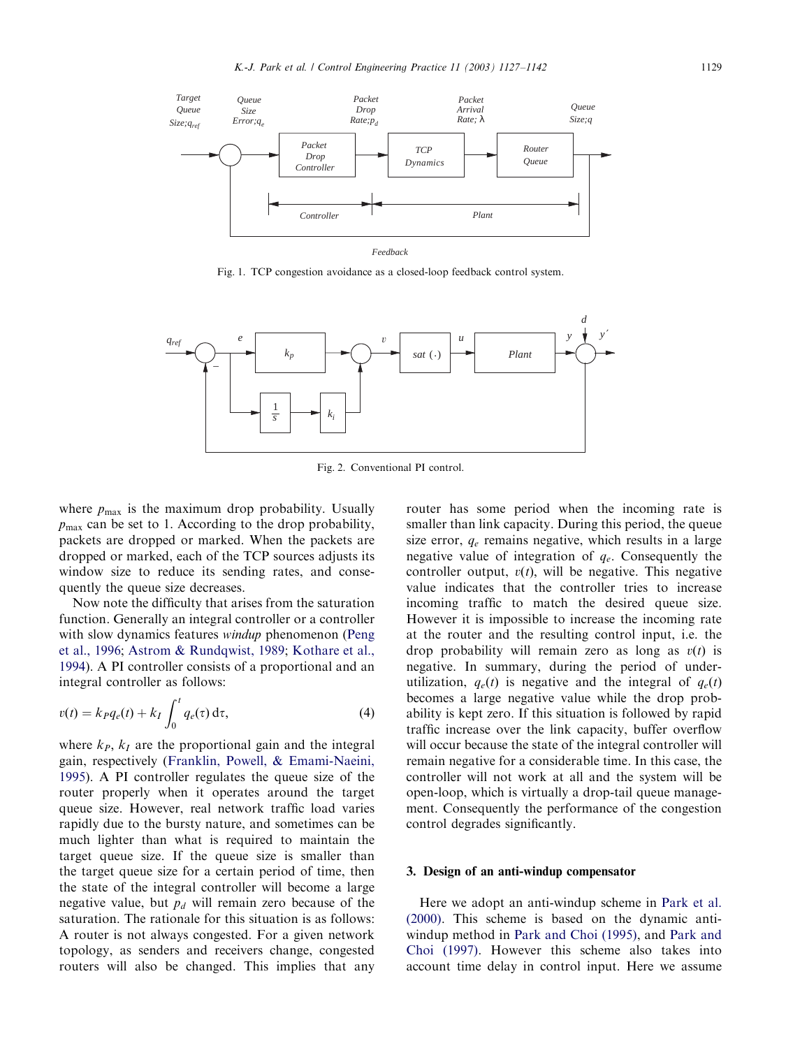<span id="page-2-0"></span>

Fig. 1. TCP congestion avoidance as a closed-loop feedback control system.



Fig. 2. Conventional PI control.

where  $p_{\text{max}}$  is the maximum drop probability. Usually  $p_{\text{max}}$  can be set to 1. According to the drop probability, packets are dropped or marked. When the packets are dropped or marked, each of the TCP sources adjusts its window size to reduce its sending rates, and consequently the queue size decreases.

Now note the difficulty that arises from the saturation function. Generally an integral controller or a controller with slow dynamics features *windup* phenomenon [\(Peng](#page-15-0) [et al., 1996;](#page-15-0) [Astrom & Rundqwist, 1989;](#page-15-0) [Kothare et al.,](#page-15-0) [1994\)](#page-15-0). A PI controller consists of a proportional and an integral controller as follows:

$$
v(t) = k_P q_e(t) + k_I \int_0^t q_e(\tau) d\tau,
$$
\n(4)

where  $k_P$ ,  $k_I$  are the proportional gain and the integral gain, respectively ([Franklin, Powell, & Emami-Naeini,](#page-15-0) [1995\)](#page-15-0). A PI controller regulates the queue size of the router properly when it operates around the target queue size. However, real network traffic load varies rapidly due to the bursty nature, and sometimes can be much lighter than what is required to maintain the target queue size. If the queue size is smaller than the target queue size for a certain period of time, then the state of the integral controller will become a large negative value, but  $p_d$  will remain zero because of the saturation. The rationale for this situation is as follows: A router is not always congested. For a given network topology, as senders and receivers change, congested routers will also be changed. This implies that any router has some period when the incoming rate is smaller than link capacity. During this period, the queue size error,  $q_e$  remains negative, which results in a large negative value of integration of  $q_e$ . Consequently the controller output,  $v(t)$ , will be negative. This negative value indicates that the controller tries to increase incoming traffic to match the desired queue size. However it is impossible to increase the incoming rate at the router and the resulting control input, i.e. the drop probability will remain zero as long as  $v(t)$  is negative. In summary, during the period of underutilization,  $q_e(t)$  is negative and the integral of  $q_e(t)$ becomes a large negative value while the drop probability is kept zero. If this situation is followed by rapid traffic increase over the link capacity, buffer overflow will occur because the state of the integral controller will remain negative for a considerable time. In this case, the controller will not work at all and the system will be open-loop, which is virtually a drop-tail queue management. Consequently the performance of the congestion control degrades significantly.

#### 3. Design of an anti-windup compensator

Here we adopt an anti-windup scheme in [Park et al.](#page-15-0) [\(2000\)](#page-15-0). This scheme is based on the dynamic antiwindup method in [Park and Choi \(1995\),](#page-15-0) and [Park and](#page-15-0) [Choi \(1997\)](#page-15-0). However this scheme also takes into account time delay in control input. Here we assume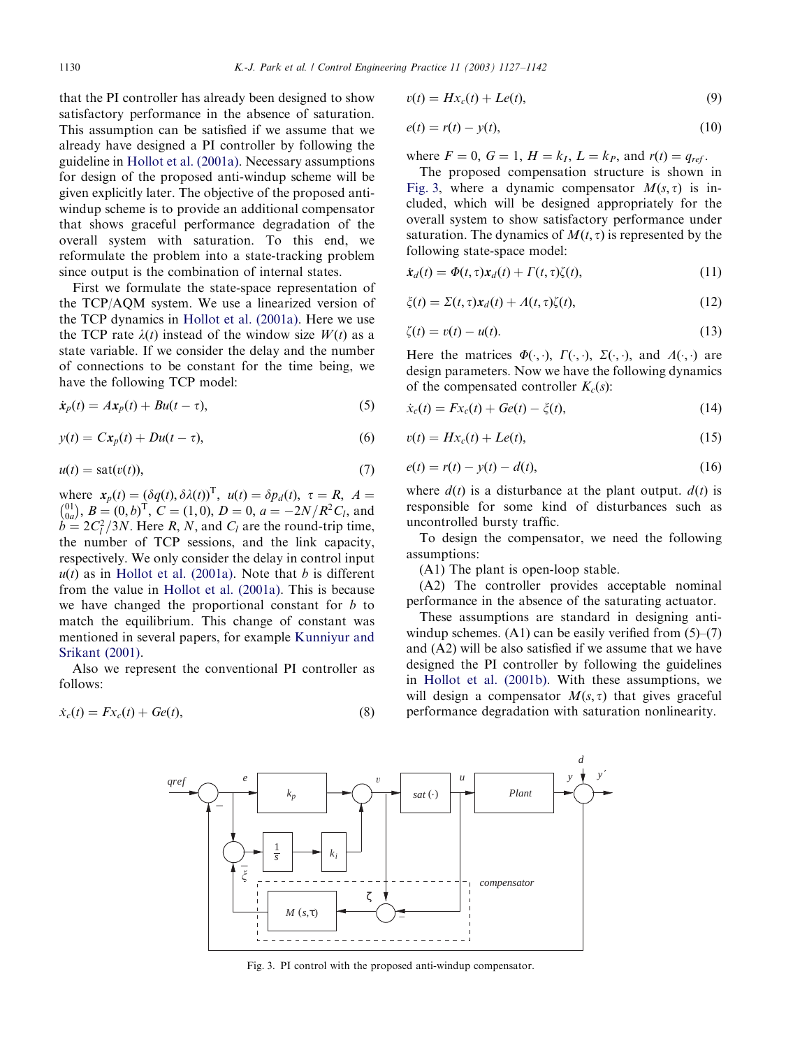<span id="page-3-0"></span>that the PI controller has already been designed to show satisfactory performance in the absence of saturation. This assumption can be satisfied if we assume that we already have designed a PI controller by following the guideline in [Hollot et al. \(2001a\).](#page-15-0) Necessary assumptions for design of the proposed anti-windup scheme will be given explicitly later. The objective of the proposed antiwindup scheme is to provide an additional compensator that shows graceful performance degradation of the overall system with saturation. To this end, we reformulate the problem into a state-tracking problem since output is the combination of internal states.

First we formulate the state-space representation of the TCP/AQM system. We use a linearized version of the TCP dynamics in [Hollot et al. \(2001a\).](#page-15-0) Here we use the TCP rate  $\lambda(t)$  instead of the window size  $W(t)$  as a state variable. If we consider the delay and the number of connections to be constant for the time being, we have the following TCP model:

$$
\dot{\mathbf{x}}_p(t) = A\mathbf{x}_p(t) + B\mathbf{u}(t-\tau),\tag{5}
$$

$$
y(t) = Cx_p(t) + Du(t - \tau),
$$
\n(6)

$$
u(t) = \text{sat}(v(t)),\tag{7}
$$

where  $\mathbf{x}_p(t) = (\delta q(t), \delta \lambda(t))^T$ ,  $u(t) = \delta p_d(t)$ ,  $\tau = R$ ,  $A =$ where  $x_p(x) - (o_q(x), o_{\lambda}(y))$ ,  $a_{\lambda}(y) - o_{\lambda}(y)$ ,  $c = \lambda$ ,  $\lambda =$ <br>  $\binom{0}{0a}, B = (0, b)^T$ ,  $C = (1, 0), D = 0, a = -2N/R^2C_l$ , and  $b = 2C_l^2/3N$ . Here R, N, and C<sub>l</sub> are the round-trip time, the number of TCP sessions, and the link capacity, respectively. We only consider the delay in control input  $u(t)$  as in [Hollot et al. \(2001a\)](#page-15-0). Note that b is different from the value in [Hollot et al. \(2001a\)](#page-15-0). This is because we have changed the proportional constant for  $b$  to match the equilibrium. This change of constant was mentioned in several papers, for example [Kunniyur and](#page-15-0) [Srikant \(2001\)](#page-15-0).

Also we represent the conventional PI controller as follows:

$$
\dot{x}_c(t) = Fx_c(t) + Ge(t),\tag{8}
$$

$$
v(t) = Hx_c(t) + Le(t),
$$
\n(9)

$$
e(t) = r(t) - y(t),\tag{10}
$$

where  $F = 0$ ,  $G = 1$ ,  $H = k_I$ ,  $L = k_P$ , and  $r(t) = q_{ref}$ .

The proposed compensation structure is shown in Fig. 3, where a dynamic compensator  $M(s, \tau)$  is included, which will be designed appropriately for the overall system to show satisfactory performance under saturation. The dynamics of  $M(t, \tau)$  is represented by the following state-space model:

$$
\dot{\mathbf{x}}_d(t) = \Phi(t, \tau) \mathbf{x}_d(t) + \Gamma(t, \tau) \zeta(t), \tag{11}
$$

$$
\xi(t) = \Sigma(t, \tau) \mathbf{x}_d(t) + A(t, \tau) \zeta(t), \tag{12}
$$

$$
\zeta(t) = v(t) - u(t). \tag{13}
$$

Here the matrices  $\Phi(\cdot, \cdot)$ ,  $\Gamma(\cdot, \cdot)$ ,  $\Sigma(\cdot, \cdot)$ , and  $\Lambda(\cdot, \cdot)$  are design parameters. Now we have the following dynamics of the compensated controller  $K_c(s)$ :

$$
\dot{x}_c(t) = Fx_c(t) + Ge(t) - \xi(t),
$$
\n(14)

$$
v(t) = Hx_c(t) + Le(t),
$$
\n(15)

$$
e(t) = r(t) - y(t) - d(t),
$$
\n(16)

where  $d(t)$  is a disturbance at the plant output.  $d(t)$  is responsible for some kind of disturbances such as uncontrolled bursty traffic.

To design the compensator, we need the following assumptions:

(A1) The plant is open-loop stable.

(A2) The controller provides acceptable nominal performance in the absence of the saturating actuator.

These assumptions are standard in designing antiwindup schemes.  $(A1)$  can be easily verified from  $(5)$ – $(7)$ and (A2) will be also satisfied if we assume that we have designed the PI controller by following the guidelines in [Hollot et al. \(2001b\)](#page-15-0). With these assumptions, we will design a compensator  $M(s, \tau)$  that gives graceful performance degradation with saturation nonlinearity.



Fig. 3. PI control with the proposed anti-windup compensator.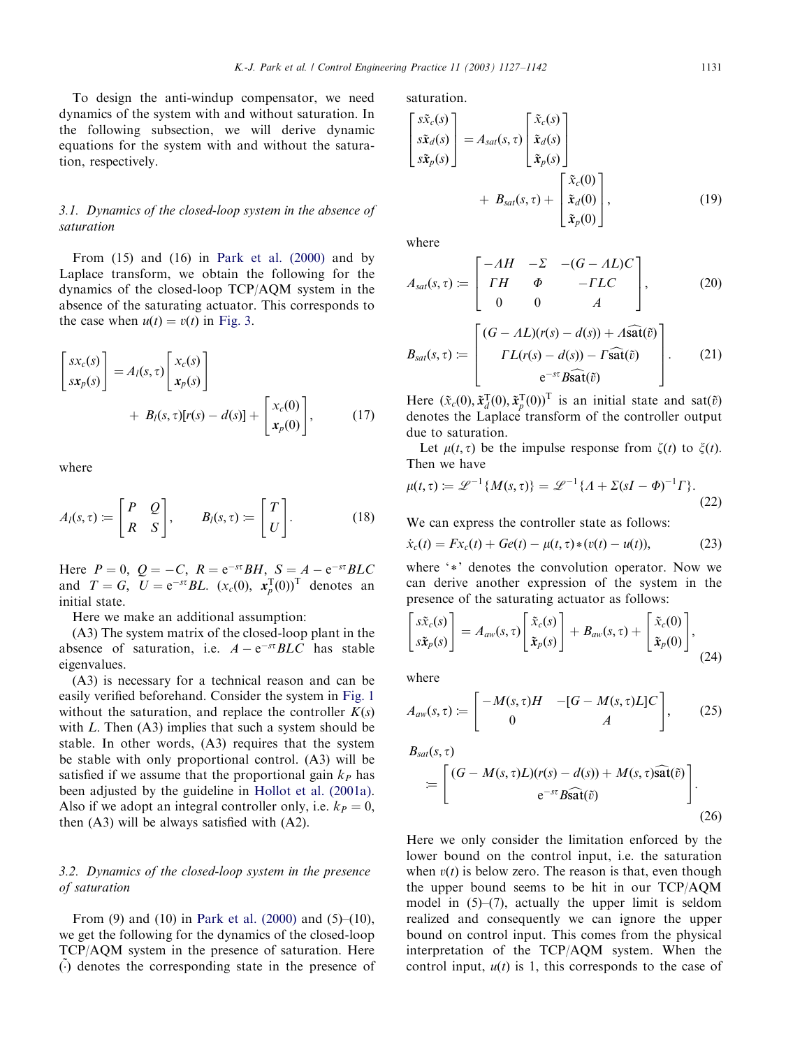To design the anti-windup compensator, we need dynamics of the system with and without saturation. In the following subsection, we will derive dynamic equations for the system with and without the saturation, respectively.

# 3.1. Dynamics of the closed-loop system in the absence of saturation

From (15) and (16) in [Park et al. \(2000\)](#page-15-0) and by Laplace transform, we obtain the following for the dynamics of the closed-loop TCP/AQM system in the absence of the saturating actuator. This corresponds to the case when  $u(t) = v(t)$  in [Fig. 3](#page-3-0).

$$
\begin{bmatrix} sx_c(s) \\ sx_p(s) \end{bmatrix} = A_l(s, \tau) \begin{bmatrix} x_c(s) \\ x_p(s) \end{bmatrix} + B_l(s, \tau) [r(s) - d(s)] + \begin{bmatrix} x_c(0) \\ x_p(0) \end{bmatrix}, \qquad (17)
$$

where

$$
A_l(s,\tau) := \begin{bmatrix} P & Q \\ R & S \end{bmatrix}, \qquad B_l(s,\tau) := \begin{bmatrix} T \\ U \end{bmatrix}.
$$
 (18)

Here  $P = 0$ ,  $Q = -C$ ,  $R = e^{-s\tau}BH$ ,  $S = A - e^{-s\tau}BLC$ and  $T = G$ ,  $U = e^{-st} BL$ .  $(x_c(0), x_p^T(0))^T$  denotes an initial state.

Here we make an additional assumption:

(A3) The system matrix of the closed-loop plant in the absence of saturation, i.e.  $A - e^{-st}BLC$  has stable eigenvalues.

(A3) is necessary for a technical reason and can be easily verified beforehand. Consider the system in [Fig. 1](#page-2-0) without the saturation, and replace the controller  $K(s)$ with  $L$ . Then  $(A3)$  implies that such a system should be stable. In other words, (A3) requires that the system be stable with only proportional control. (A3) will be satisfied if we assume that the proportional gain  $k_P$  has been adjusted by the guideline in [Hollot et al. \(2001a\)](#page-15-0). Also if we adopt an integral controller only, i.e.  $k_P = 0$ , then (A3) will be always satisfied with (A2).

# 3.2. Dynamics of the closed-loop system in the presence of saturation

From (9) and (10) in [Park et al. \(2000\)](#page-15-0) and (5)–(10), we get the following for the dynamics of the closed-loop TCP/AQM system in the presence of saturation. Here  $\ddot{\theta}$  denotes the corresponding state in the presence of saturation.

$$
\begin{bmatrix} s\tilde{x}_{c}(s) \\ s\tilde{x}_{d}(s) \\ s\tilde{x}_{p}(s) \end{bmatrix} = A_{sat}(s, \tau) \begin{bmatrix} \tilde{x}_{c}(s) \\ \tilde{x}_{d}(s) \\ \tilde{x}_{p}(s) \end{bmatrix} + B_{sat}(s, \tau) + \begin{bmatrix} \tilde{x}_{c}(0) \\ \tilde{x}_{d}(0) \\ \tilde{x}_{p}(0) \end{bmatrix},
$$
(19)

where

$$
A_{sat}(s,\tau) := \begin{bmatrix} -AH & -\Sigma & -(G - AL)C \\ TH & \Phi & -FLC \\ 0 & 0 & A \end{bmatrix}, \qquad (20)
$$

$$
B_{sat}(s,\tau) := \begin{bmatrix} (G - AL)(r(s) - d(s)) + A\widehat{sat}(\widetilde{v}) \\ \Gamma L(r(s) - d(s)) - \Gamma \widehat{sat}(\widetilde{v}) \\ e^{-s\tau}B\widehat{sat}(\widetilde{v}) \end{bmatrix}. \qquad (21)
$$

Here  $(\tilde{x}_c(0), \tilde{x}_d^T(0), \tilde{x}_p^T(0))^T$  is an initial state and sat $(\tilde{v})$ denotes the Laplace transform of the controller output due to saturation.

Let  $\mu(t, \tau)$  be the impulse response from  $\zeta(t)$  to  $\zeta(t)$ . Then we have

$$
\mu(t,\tau) := \mathcal{L}^{-1}\{M(s,\tau)\} = \mathcal{L}^{-1}\{A + \Sigma(sI - \Phi)^{-1}\Gamma\}.
$$
\n(22)

We can express the controller state as follows:

$$
\dot{x}_c(t) = Fx_c(t) + Ge(t) - \mu(t, \tau) * (v(t) - u(t)), \tag{23}
$$

where '\*' denotes the convolution operator. Now we can derive another expression of the system in the presence of the saturating actuator as follows:

$$
\begin{bmatrix} s\tilde{x}_c(s) \\ s\tilde{x}_p(s) \end{bmatrix} = A_{aw}(s,\tau) \begin{bmatrix} \tilde{x}_c(s) \\ \tilde{x}_p(s) \end{bmatrix} + B_{aw}(s,\tau) + \begin{bmatrix} \tilde{x}_c(0) \\ \tilde{x}_p(0) \end{bmatrix},
$$
\n(24)

where

$$
A_{aw}(s,\tau) \coloneqq \begin{bmatrix} -M(s,\tau)H & -[G-M(s,\tau)L]C \\ 0 & A \end{bmatrix}, \qquad (25)
$$

$$
B_{sat}(s,\tau)
$$
  
\n
$$
= \left[ \frac{(G - M(s,\tau)L)(r(s) - d(s)) + M(s,\tau)\widehat{\text{sat}}(\tilde{v})}{e^{-s\tau}B\widehat{\text{sat}}(\tilde{v})} \right].
$$
\n(26)

Here we only consider the limitation enforced by the lower bound on the control input, i.e. the saturation when  $v(t)$  is below zero. The reason is that, even though the upper bound seems to be hit in our TCP/AQM model in (5)–(7), actually the upper limit is seldom realized and consequently we can ignore the upper bound on control input. This comes from the physical interpretation of the TCP/AQM system. When the control input,  $u(t)$  is 1, this corresponds to the case of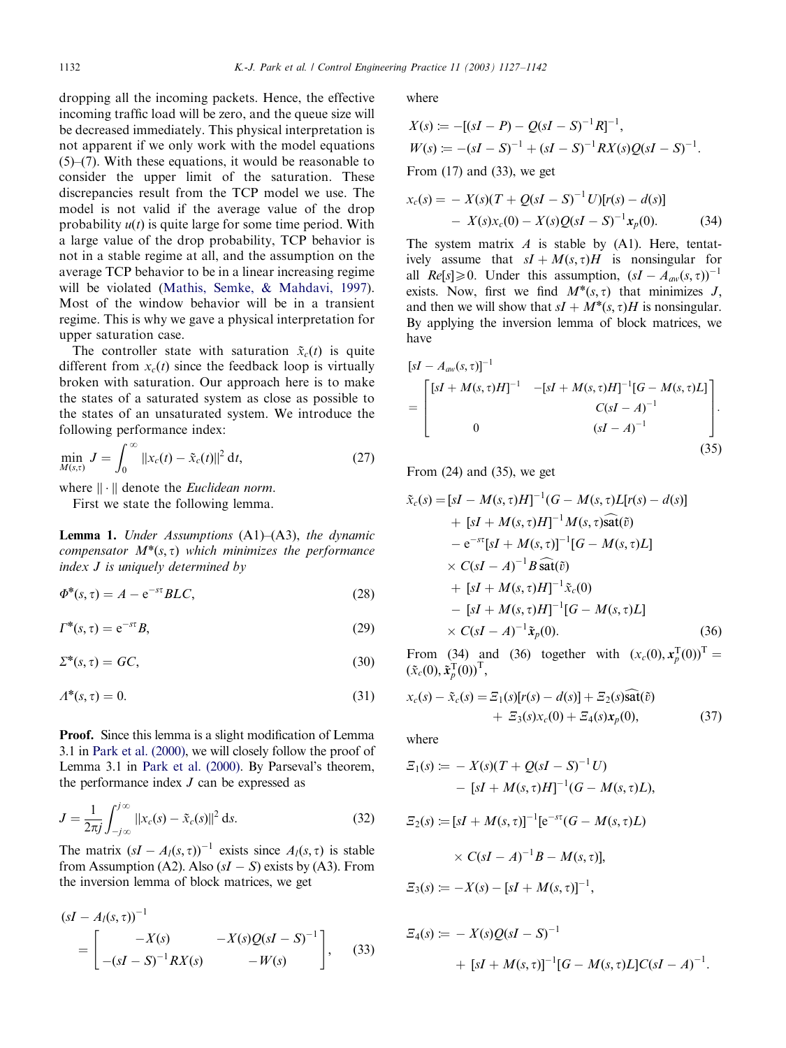dropping all the incoming packets. Hence, the effective incoming traffic load will be zero, and the queue size will be decreased immediately. This physical interpretation is not apparent if we only work with the model equations (5)–(7). With these equations, it would be reasonable to consider the upper limit of the saturation. These discrepancies result from the TCP model we use. The model is not valid if the average value of the drop probability  $u(t)$  is quite large for some time period. With a large value of the drop probability, TCP behavior is not in a stable regime at all, and the assumption on the average TCP behavior to be in a linear increasing regime will be violated ([Mathis, Semke,](#page-15-0) & [Mahdavi, 1997\)](#page-15-0). Most of the window behavior will be in a transient regime. This is why we gave a physical interpretation for upper saturation case.

The controller state with saturation  $\tilde{x}_c(t)$  is quite different from  $x_c(t)$  since the feedback loop is virtually broken with saturation. Our approach here is to make the states of a saturated system as close as possible to the states of an unsaturated system. We introduce the following performance index:

$$
\min_{M(s,t)} J = \int_0^\infty ||x_c(t) - \tilde{x}_c(t)||^2 dt,
$$
\n(27)

where  $\|\cdot\|$  denote the *Euclidean norm*.

First we state the following lemma.

**Lemma 1.** Under Assumptions  $(A1)$ – $(A3)$ , the dynamic compensator  $M^*(s, \tau)$  which minimizes the performance index J is uniquely determined by

$$
\Phi^*(s,\tau) = A - e^{-st} BLC,\tag{28}
$$

$$
\Gamma^*(s,\tau) = e^{-s\tau}B,\tag{29}
$$

$$
\Sigma^*(s,\tau) = GC,\tag{30}
$$

$$
\Lambda^*(s,\tau) = 0.\tag{31}
$$

Proof. Since this lemma is a slight modification of Lemma 3.1 in [Park et al. \(2000\)](#page-15-0), we will closely follow the proof of Lemma 3.1 in [Park et al. \(2000\).](#page-15-0) By Parseval's theorem, the performance index  $J$  can be expressed as

$$
J = \frac{1}{2\pi j} \int_{-j\infty}^{j\infty} ||x_c(s) - \tilde{x}_c(s)||^2 ds.
$$
 (32)

The matrix  $(sI - A_l(s, \tau))^{-1}$  exists since  $A_l(s, \tau)$  is stable from Assumption (A2). Also  $(sI - S)$  exists by (A3). From the inversion lemma of block matrices, we get

$$
(sI - AI(s, \tau))^{-1}
$$
  
=  $\begin{bmatrix} -X(s) & -X(s)Q(sI - S)^{-1} \\ -(sI - S)^{-1}RX(s) & -W(s) \end{bmatrix}$ , (33)

where

$$
X(s) := -[(sI - P) - Q(sI - S)^{-1}R]^{-1},
$$
  
\n
$$
W(s) := -(sI - S)^{-1} + (sI - S)^{-1}RX(s)Q(sI - S)^{-1}.
$$
  
\nFrom (17) and (22) we set

From (17) and (33), we get

$$
x_c(s) = -X(s)(T + Q(sI - S)^{-1}U)[r(s) - d(s)]
$$
  
- 
$$
X(s)x_c(0) - X(s)Q(sI - S)^{-1}x_p(0).
$$
 (34)

The system matrix  $A$  is stable by (A1). Here, tentatively assume that  $sI + M(s, \tau)H$  is nonsingular for all Re[s]  $\geq 0$ . Under this assumption,  $(sI - A_{aw}(s, \tau))^{-1}$ exists. Now, first we find  $M^*(s, \tau)$  that minimizes J, and then we will show that  $sI + M^*(s, \tau)H$  is nonsingular. By applying the inversion lemma of block matrices, we have

$$
\begin{aligned} \left[sI - A_{aw}(s,\tau)\right]^{-1} & -\left[sI + M(s,\tau)H\right]^{-1} \left[G - M(s,\tau)L\right] \\ &= \begin{bmatrix} \left[sI + M(s,\tau)H\right]^{-1} & -\left[sI + M(s,\tau)H\right]^{-1} \left[G - M(s,\tau)L\right] \\ & C(sI - A)^{-1} \\ 0 & (sI - A)^{-1} \end{bmatrix} . \end{aligned} \tag{35}
$$

From (24) and (35), we get

$$
\tilde{x}_c(s) = [sI - M(s, \tau)H]^{-1}(G - M(s, \tau)L[r(s) - d(s)] \n+ [sI + M(s, \tau)H]^{-1}M(s, \tau)\tilde{\text{sat}}(\tilde{v}) \n- e^{-s\tau}[sI + M(s, \tau)]^{-1}[G - M(s, \tau)L] \n\times C(sI - A)^{-1}B\tilde{\text{sat}}(\tilde{v}) \n+ [sI + M(s, \tau)H]^{-1}\tilde{x}_c(0) \n- [sI + M(s, \tau)H]^{-1}[G - M(s, \tau)L] \n\times C(sI - A)^{-1}\tilde{x}_p(0).
$$
\n(36)

From (34) and (36) together with  $(x_c(0), \mathbf{x}_p^{\text{T}}(0))^{\text{T}} =$  $(\tilde{x}_c(0), \tilde{x}_p^{\mathrm{T}}(0))^{\mathrm{T}},$ 

$$
x_c(s) - \tilde{x}_c(s) = \mathcal{Z}_1(s)[r(s) - d(s)] + \mathcal{Z}_2(s)\tilde{\text{sat}}(\tilde{v}) + \mathcal{Z}_3(s)x_c(0) + \mathcal{Z}_4(s)x_p(0),
$$
 (37)

where

$$
E_1(s) := -X(s)(T + Q(sI - S)^{-1}U)
$$
  
– [sI + M(s, \tau)H]^{-1}(G - M(s, \tau)L),

$$
\begin{aligned} \n\Xi_2(s) &:= [sI + M(s, \tau)]^{-1} [e^{-s\tau} (G - M(s, \tau)L) \\ \n&\times C(sI - A)^{-1} B - M(s, \tau)], \\ \n\Xi_3(s) &:= -X(s) - [sI + M(s, \tau)]^{-1}, \n\end{aligned}
$$

$$
\begin{aligned} \mathcal{Z}_4(s) &:= -X(s)Q(sI - S)^{-1} \\ &+ [sI + M(s, \tau)]^{-1} [G - M(s, \tau)L]C(sI - A)^{-1} . \end{aligned}
$$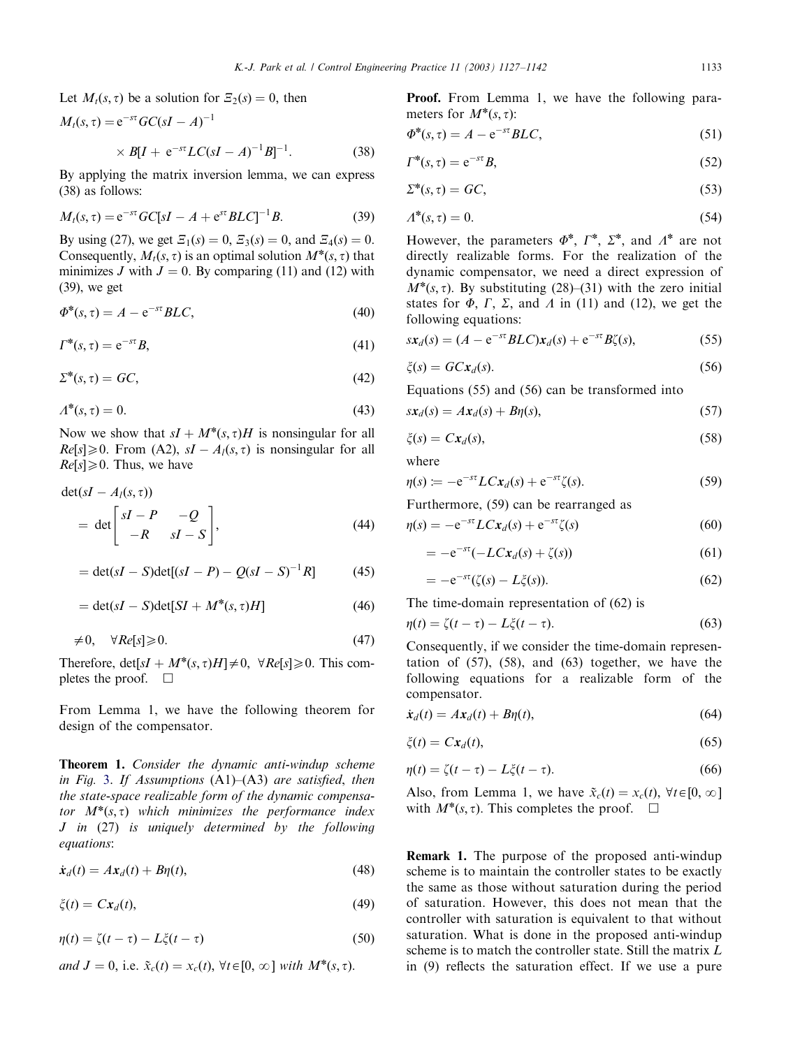Let  $M_t(s, \tau)$  be a solution for  $\mathcal{Z}_2(s) = 0$ , then

$$
M_t(s, \tau) = e^{-s\tau} GC(sI - A)^{-1}
$$
  
 
$$
\times B[I + e^{-s\tau} LC(sI - A)^{-1}B]^{-1}.
$$
 (38)

By applying the matrix inversion lemma, we can express (38) as follows:

$$
M_t(s,\tau) = e^{-s\tau} GC[sI - A + e^{s\tau}BLC]^{-1}B.
$$
 (39)

By using (27), we get  $\mathcal{Z}_1(s) = 0$ ,  $\mathcal{Z}_3(s) = 0$ , and  $\mathcal{Z}_4(s) = 0$ . Consequently,  $M_t(s, \tau)$  is an optimal solution  $M^*(s, \tau)$  that minimizes J with  $J = 0$ . By comparing (11) and (12) with (39), we get

$$
\Phi^*(s,\tau) = A - e^{-s\tau} BLC,\tag{40}
$$

$$
\Gamma^*(s,\tau) = e^{-s\tau}B,\tag{41}
$$

$$
\Sigma^*(s,\tau) = GC,\tag{42}
$$

$$
\Lambda^*(s,\tau) = 0.\tag{43}
$$

Now we show that  $sI + M^*(s, \tau)H$  is nonsingular for all  $Re[s] \ge 0$ . From (A2),  $sI - A<sub>l</sub>(s, \tau)$  is nonsingular for all  $Re[s] \geq 0$ . Thus, we have

$$
\det(sI - A_I(s, \tau))
$$
  
= det  $\begin{bmatrix} sI - P & -Q \\ -R & sI - S \end{bmatrix}$ , (44)

$$
= \det(sI - S)\det[(sI - P) - Q(sI - S)^{-1}R]
$$
 (45)

$$
= \det(sI - S)\det[SI + M^*(s, \tau)H]
$$
\n(46)

$$
\neq 0, \quad \forall Re[s] \geq 0. \tag{47}
$$

Therefore,  $det[sI + M^*(s, \tau)H] \neq 0$ ,  $\forall Re[s] \ge 0$ . This completes the proof.  $\Box$ 

From Lemma 1, we have the following theorem for design of the compensator.

Theorem 1. Consider the dynamic anti-windup scheme in Fig. [3](#page-3-0). If Assumptions  $(A1)$ – $(A3)$  are satisfied, then the state-space realizable form of the dynamic compensator  $M^*(s, \tau)$  which minimizes the performance index J in (27) is uniquely determined by the following equations:

$$
\dot{\mathbf{x}}_d(t) = A\mathbf{x}_d(t) + B\eta(t),\tag{48}
$$

 $\zeta(t) = Cx_d(t),$  (49)

$$
\eta(t) = \zeta(t - \tau) - L\xi(t - \tau) \tag{50}
$$

and 
$$
J = 0
$$
, i.e.  $\tilde{x}_c(t) = x_c(t)$ ,  $\forall t \in [0, \infty]$  with  $M^*(s, \tau)$ .

Proof. From Lemma 1, we have the following parameters for  $M^*(s, \tau)$ :

$$
\Phi^*(s,\tau) = A - e^{-s\tau} BLC,\tag{51}
$$

$$
\Gamma^*(s,\tau) = e^{-s\tau}B,\tag{52}
$$

$$
\Sigma^*(s,\tau) = GC,\tag{53}
$$

$$
A^*(s, \tau) = 0. \tag{54}
$$

However, the parameters  $\Phi^*, \Gamma^*, \Sigma^*$ , and  $\Lambda^*$  are not directly realizable forms. For the realization of the dynamic compensator, we need a direct expression of  $M^*(s, \tau)$ . By substituting (28)–(31) with the zero initial states for  $\Phi$ ,  $\Gamma$ ,  $\Sigma$ , and  $\Lambda$  in (11) and (12), we get the following equations:

$$
sx_d(s) = (A - e^{-st}BLC)x_d(s) + e^{-st}B\zeta(s),
$$
\n(55)

$$
\zeta(s) = GCx_d(s). \tag{56}
$$

Equations (55) and (56) can be transformed into

$$
sx_d(s) = Ax_d(s) + B\eta(s),\tag{57}
$$

$$
\zeta(s) = Cx_d(s),\tag{58}
$$

where

$$
\eta(s) \coloneqq -e^{-s\tau}LCx_d(s) + e^{-s\tau}\zeta(s). \tag{59}
$$

Furthermore, (59) can be rearranged as

$$
\eta(s) = -e^{-st}LCx_d(s) + e^{-st}\zeta(s) \tag{60}
$$

$$
=-e^{-s\tau}(-LCx_d(s)+\zeta(s))\tag{61}
$$

$$
=-e^{-s\tau}(\zeta(s)-L\zeta(s)).\tag{62}
$$

The time-domain representation of (62) is

$$
\eta(t) = \zeta(t - \tau) - L\zeta(t - \tau). \tag{63}
$$

Consequently, if we consider the time-domain representation of (57), (58), and (63) together, we have the following equations for a realizable form of the compensator.

$$
\dot{\mathbf{x}}_d(t) = A\mathbf{x}_d(t) + B\eta(t),\tag{64}
$$

$$
\zeta(t) = Cx_d(t),\tag{65}
$$

$$
\eta(t) = \zeta(t - \tau) - L\xi(t - \tau). \tag{66}
$$

Also, from Lemma 1, we have  $\tilde{x}_c(t) = x_c(t)$ ,  $\forall t \in [0, \infty]$ with  $M^*(s, \tau)$ . This completes the proof.  $\Box$ 

Remark 1. The purpose of the proposed anti-windup scheme is to maintain the controller states to be exactly the same as those without saturation during the period of saturation. However, this does not mean that the controller with saturation is equivalent to that without saturation. What is done in the proposed anti-windup scheme is to match the controller state. Still the matrix L in (9) reflects the saturation effect. If we use a pure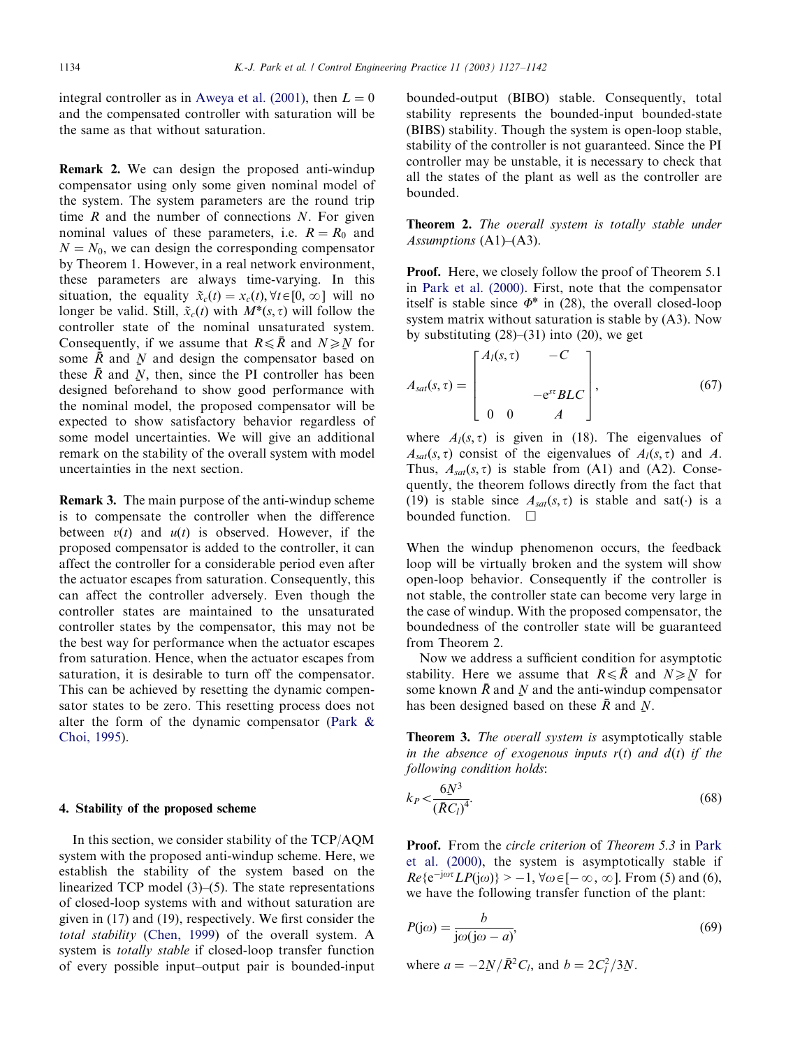integral controller as in [Aweya et al. \(2001\)](#page-15-0), then  $L = 0$ and the compensated controller with saturation will be the same as that without saturation.

Remark 2. We can design the proposed anti-windup compensator using only some given nominal model of the system. The system parameters are the round trip time  $R$  and the number of connections  $N$ . For given nominal values of these parameters, i.e.  $R = R_0$  and  $N = N_0$ , we can design the corresponding compensator by Theorem 1. However, in a real network environment, these parameters are always time-varying. In this situation, the equality  $\tilde{x}_c(t) = x_c(t), \forall t \in [0, \infty]$  will no longer be valid. Still,  $\tilde{x}_c(t)$  with  $M^*(s, \tau)$  will follow the controller state of the nominal unsaturated system. Consequently, if we assume that  $R \leq \bar{R}$  and  $N \geq N$  for some  $\bar{R}$  and N and design the compensator based on some  $\bar{R}$  and  $\bar{N}$  and design the compensator based on these  $\bar{R}$  and  $\bar{N}$  then since the PL controller has been these  $\bar{R}$  and  $\bar{N}$ , then, since the PI controller has been<br>designed beforehand to show good performance with designed beforehand to show good performance with the nominal model, the proposed compensator will be expected to show satisfactory behavior regardless of some model uncertainties. We will give an additional remark on the stability of the overall system with model uncertainties in the next section.

Remark 3. The main purpose of the anti-windup scheme is to compensate the controller when the difference between  $v(t)$  and  $u(t)$  is observed. However, if the proposed compensator is added to the controller, it can affect the controller for a considerable period even after the actuator escapes from saturation. Consequently, this can affect the controller adversely. Even though the controller states are maintained to the unsaturated controller states by the compensator, this may not be the best way for performance when the actuator escapes from saturation. Hence, when the actuator escapes from saturation, it is desirable to turn off the compensator. This can be achieved by resetting the dynamic compensator states to be zero. This resetting process does not alter the form of the dynamic compensator ([Park](#page-15-0) & [Choi, 1995\)](#page-15-0).

## 4. Stability of the proposed scheme

In this section, we consider stability of the TCP/AQM system with the proposed anti-windup scheme. Here, we establish the stability of the system based on the linearized TCP model (3)–(5). The state representations of closed-loop systems with and without saturation are given in (17) and (19), respectively. We first consider the total stability [\(Chen, 1999\)](#page-15-0) of the overall system. A system is totally stable if closed-loop transfer function of every possible input–output pair is bounded-input bounded-output (BIBO) stable. Consequently, total stability represents the bounded-input bounded-state (BIBS) stability. Though the system is open-loop stable, stability of the controller is not guaranteed. Since the PI controller may be unstable, it is necessary to check that all the states of the plant as well as the controller are bounded.

**Theorem 2.** The overall system is totally stable under Assumptions  $(A1)$ – $(A3)$ .

**Proof.** Here, we closely follow the proof of Theorem 5.1 in [Park et al. \(2000\)](#page-15-0). First, note that the compensator itself is stable since  $\Phi^*$  in (28), the overall closed-loop system matrix without saturation is stable by (A3). Now by substituting (28)–(31) into (20), we get

$$
A_{sat}(s,\tau) = \begin{bmatrix} A_l(s,\tau) & -C \\ & -e^{s\tau}BLC \\ 0 & 0 & A \end{bmatrix},
$$
 (67)

where  $A_l(s, \tau)$  is given in (18). The eigenvalues of  $A_{sat}(s, \tau)$  consist of the eigenvalues of  $A_l(s, \tau)$  and A. Thus,  $A_{sat}(s, \tau)$  is stable from (A1) and (A2). Consequently, the theorem follows directly from the fact that (19) is stable since  $A_{sat}(s, \tau)$  is stable and sat() is a bounded function.  $\square$ 

When the windup phenomenon occurs, the feedback loop will be virtually broken and the system will show open-loop behavior. Consequently if the controller is not stable, the controller state can become very large in the case of windup. With the proposed compensator, the boundedness of the controller state will be guaranteed from Theorem 2.

Now we address a sufficient condition for asymptotic stability. Here we assume that  $R \leq \bar{R}$  and  $N \geq N$  for some known  $\bar{R}$  and N and the anti-windup compensator some known  $\bar{R}$  and  $\bar{N}$  and the anti-windup compensator<br>has been designed based on these  $\bar{R}$  and  $\bar{N}$ has been designed based on these  $\bar{R}$  and  $\bar{N}$ .

Theorem 3. The overall system is asymptotically stable in the absence of exogenous inputs  $r(t)$  and  $d(t)$  if the following condition holds:

$$
k_P < \frac{6N^3}{\left(\bar{R}C_l\right)^4}.\tag{68}
$$

Proof. From the circle criterion of Theorem 5.3 in [Park](#page-15-0) [et al. \(2000\)](#page-15-0), the system is asymptotically stable if  $Re\{e^{-j\omega\tau}LP(j\omega)\} > -1$ ,  $\forall \omega \in [-\infty, \infty]$ . From (5) and (6), we have the following transfer function of the plant:

$$
P(j\omega) = \frac{b}{j\omega(j\omega - a)},
$$
\n(69)

where  $a = -2N/\bar{R}^2 C_l$ , and  $b = 2C_l^2/3N$ .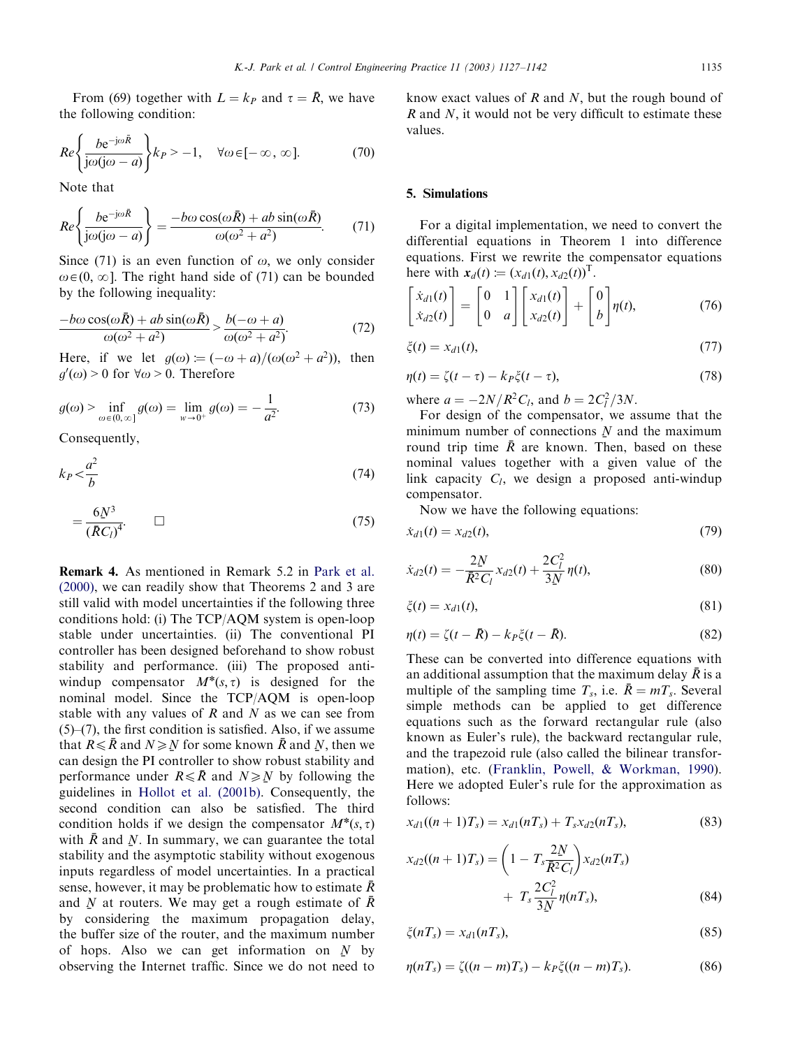From (69) together with  $L = k_P$  and  $\tau = \bar{R}$ , we have the following condition:

$$
Re\left\{\frac{be^{-j\omega\bar{R}}}{j\omega(j\omega-a)}\right\} k_P > -1, \quad \forall \omega \in [-\infty, \infty].
$$
 (70)

Note that

$$
Re\left\{\frac{be^{-j\omega\bar{R}}}{j\omega(j\omega-a)}\right\} = \frac{-b\omega\cos(\omega\bar{R}) + ab\sin(\omega\bar{R})}{\omega(\omega^2 + a^2)}.
$$
 (71)

Since (71) is an even function of  $\omega$ , we only consider  $\omega \in (0, \infty]$ . The right hand side of (71) can be bounded by the following inequality:

$$
\frac{-b\omega\cos(\omega\bar{R}) + ab\sin(\omega\bar{R})}{\omega(\omega^2 + a^2)} > \frac{b(-\omega + a)}{\omega(\omega^2 + a^2)}.
$$
(72)

Here, if we let  $g(\omega) := (-\omega + a)/(\omega(\omega^2 + a^2))$ , then  $g'(\omega) > 0$  for  $\forall \omega > 0$ . Therefore

$$
g(\omega) > \inf_{\omega \in (0,\infty]} g(\omega) = \lim_{w \to 0^+} g(\omega) = -\frac{1}{a^2}.
$$
 (73)

Consequently,

$$
k_P < \frac{a^2}{b} \tag{74}
$$

$$
=\frac{6N^3}{(\bar{R}C_l)^4}.\qquad \Box \tag{75}
$$

Remark 4. As mentioned in Remark 5.2 in [Park et al.](#page-15-0) [\(2000\)](#page-15-0), we can readily show that Theorems 2 and 3 are still valid with model uncertainties if the following three conditions hold: (i) The TCP/AQM system is open-loop stable under uncertainties. (ii) The conventional PI controller has been designed beforehand to show robust stability and performance. (iii) The proposed antiwindup compensator  $M^*(s, \tau)$  is designed for the nominal model. Since the TCP/AQM is open-loop stable with any values of  $R$  and  $N$  as we can see from  $(5)$ – $(7)$ , the first condition is satisfied. Also, if we assume that  $R \le \bar{R}$  and  $N \ge N$  for some known  $\bar{R}$  and  $N$ , then we can design the PL controller to show robust stability and can design the PI controller to show robust stability and performance under  $R \leq \bar{R}$  and  $N \geq N$  by following the midelines in Hollot et al. (2001b). Consequently, the guidelines in [Hollot et al. \(2001b\)](#page-15-0). Consequently, the second condition can also be satisfied. The third condition holds if we design the compensator  $M^*(s, \tau)$ with  $\bar{R}$  and  $\underline{N}$ . In summary, we can guarantee the total<br>stability and the asymptotic stability without expressions stability and the asymptotic stability without exogenous inputs regardless of model uncertainties. In a practical sense, however, it may be problematic how to estimate  $\bar{R}$ and N at routers. We may get a rough estimate of  $\bar{R}$ <br>by considering the maximum propagation delay by considering the maximum propagation delay, the buffer size of the router, and the maximum number of hops. Also we can get information on  $\overline{N}$  by<br>observing the Internet traffic. Since we do not need to observing the Internet traffic. Since we do not need to know exact values of  $R$  and  $N$ , but the rough bound of  $R$  and  $N$ , it would not be very difficult to estimate these values.

#### 5. Simulations

For a digital implementation, we need to convert the differential equations in Theorem 1 into difference equations. First we rewrite the compensator equations here with  $x_d(t) := (x_{d1}(t), x_{d2}(t))^T$ .

$$
\begin{bmatrix} \dot{x}_{d1}(t) \\ \dot{x}_{d2}(t) \end{bmatrix} = \begin{bmatrix} 0 & 1 \\ 0 & a \end{bmatrix} \begin{bmatrix} x_{d1}(t) \\ x_{d2}(t) \end{bmatrix} + \begin{bmatrix} 0 \\ b \end{bmatrix} \eta(t), \tag{76}
$$

$$
\xi(t) = x_{d1}(t),\tag{77}
$$

$$
\eta(t) = \zeta(t - \tau) - k_P \zeta(t - \tau),\tag{78}
$$

where  $a = -2N/R^2C_l$ , and  $b = 2C_l^2/3N$ .

For design of the compensator, we assume that the minimum number of connections N and the maximum<br>round trip time  $\bar{R}$  are known. Then, based on these round trip time  $\bar{R}$  are known. Then, based on these nominal values together with a given value of the link capacity  $C_l$ , we design a proposed anti-windup compensator.

Now we have the following equations:

$$
\dot{x}_{d1}(t) = x_{d2}(t),\tag{79}
$$

$$
\dot{x}_{d2}(t) = -\frac{2N}{\bar{R}^2 C_l} x_{d2}(t) + \frac{2C_l^2}{3N} \eta(t),\tag{80}
$$

$$
\xi(t) = x_{d1}(t),\tag{81}
$$

$$
\eta(t) = \zeta(t - \bar{R}) - k_P \zeta(t - \bar{R}).\tag{82}
$$

These can be converted into difference equations with an additional assumption that the maximum delay  $\bar{R}$  is a multiple of the sampling time  $T_s$ , i.e.  $\bar{R} = mT_s$ . Several simple methods can be applied to get difference equations such as the forward rectangular rule (also known as Euler's rule), the backward rectangular rule, and the trapezoid rule (also called the bilinear transformation), etc. [\(Franklin, Powell, & Workman, 1990\)](#page-15-0). Here we adopted Euler's rule for the approximation as follows:

$$
x_{d1}((n+1)T_s) = x_{d1}(nT_s) + T_s x_{d2}(nT_s),
$$
\n(83)

$$
x_{d2}((n+1)T_s) = \left(1 - T_s \frac{2N}{\bar{R}^2 C_l}\right) x_{d2}(nT_s) + T_s \frac{2C_l^2}{3N} \eta(nT_s), \tag{84}
$$

$$
\xi(nT_s) = x_{d1}(nT_s),\tag{85}
$$

$$
\eta(nT_s) = \zeta((n-m)T_s) - k_P \zeta((n-m)T_s). \tag{86}
$$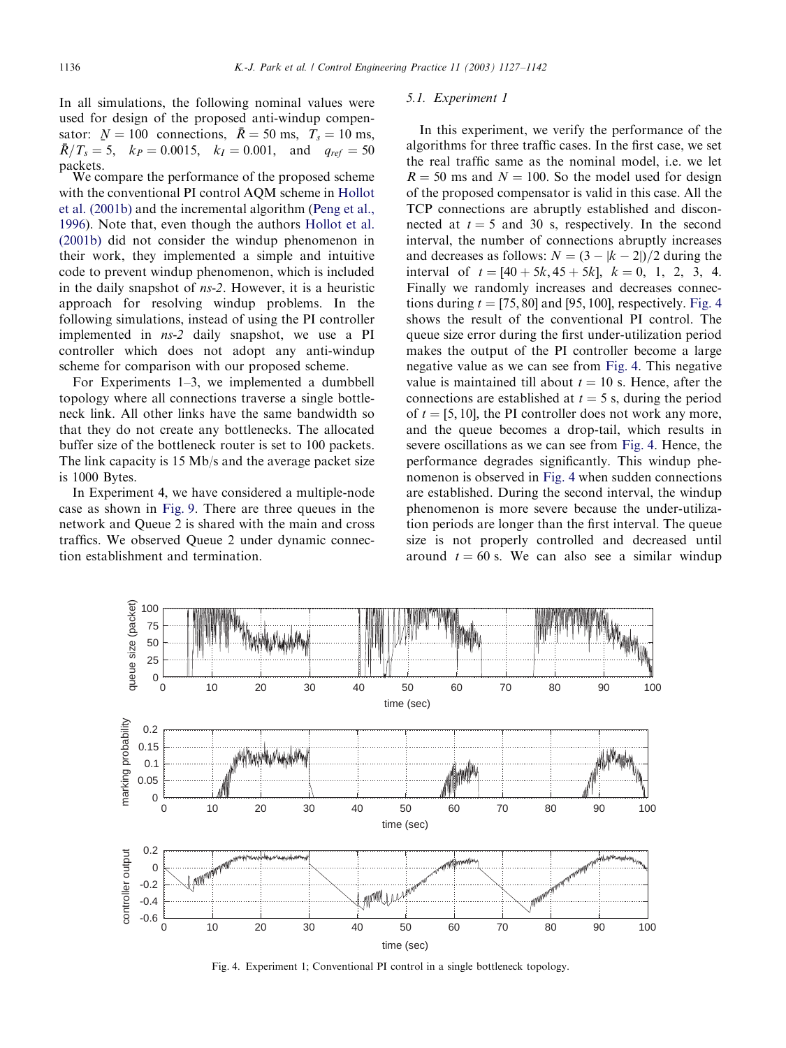In all simulations, the following nominal values were used for design of the proposed anti-windup compensator:  $N = 100$  connections,  $\bar{R} = 50$  ms,  $T_s = 10$  ms,<br> $\bar{R}/T = 5$   $k_B = 0.0015$   $k_A = 0.001$  and  $a_B = 50$  $\bar{R}/T_s = 5$ ,  $k_P = 0.0015$ ,  $k_I = 0.001$ , and  $q_{ref} = 50$ packets. We compare the performance of the proposed scheme

with the conventional PI control AQM scheme in [Hollot](#page-15-0) [et al. \(2001b\)](#page-15-0) and the incremental algorithm [\(Peng et al.,](#page-15-0) [1996\)](#page-15-0). Note that, even though the authors [Hollot et al.](#page-15-0) [\(2001b\)](#page-15-0) did not consider the windup phenomenon in their work, they implemented a simple and intuitive code to prevent windup phenomenon, which is included in the daily snapshot of ns-2. However, it is a heuristic approach for resolving windup problems. In the following simulations, instead of using the PI controller implemented in ns-2 daily snapshot, we use a PI controller which does not adopt any anti-windup scheme for comparison with our proposed scheme.

For Experiments 1–3, we implemented a dumbbell topology where all connections traverse a single bottleneck link. All other links have the same bandwidth so that they do not create any bottlenecks. The allocated buffer size of the bottleneck router is set to 100 packets. The link capacity is 15 Mb/s and the average packet size is 1000 Bytes.

In Experiment 4, we have considered a multiple-node case as shown in [Fig. 9](#page-12-0). There are three queues in the network and Queue 2 is shared with the main and cross traffics. We observed Queue 2 under dynamic connection establishment and termination.

## 5.1. Experiment 1

In this experiment, we verify the performance of the algorithms for three traffic cases. In the first case, we set the real traffic same as the nominal model, i.e. we let  $R = 50$  ms and  $N = 100$ . So the model used for design of the proposed compensator is valid in this case. All the TCP connections are abruptly established and disconnected at  $t = 5$  and 30 s, respectively. In the second interval, the number of connections abruptly increases and decreases as follows:  $N = (3 - |k-2|)/2$  during the interval of  $t = [40 + 5k, 45 + 5k], k = 0, 1, 2, 3, 4.$ Finally we randomly increases and decreases connections during  $t = [75, 80]$  and [95, 100], respectively. Fig. 4 shows the result of the conventional PI control. The queue size error during the first under-utilization period makes the output of the PI controller become a large negative value as we can see from Fig. 4. This negative value is maintained till about  $t = 10$  s. Hence, after the connections are established at  $t = 5$  s, during the period of  $t = [5, 10]$ , the PI controller does not work any more, and the queue becomes a drop-tail, which results in severe oscillations as we can see from Fig. 4. Hence, the performance degrades significantly. This windup phenomenon is observed in Fig. 4 when sudden connections are established. During the second interval, the windup phenomenon is more severe because the under-utilization periods are longer than the first interval. The queue size is not properly controlled and decreased until around  $t = 60$  s. We can also see a similar windup



Fig. 4. Experiment 1; Conventional PI control in a single bottleneck topology.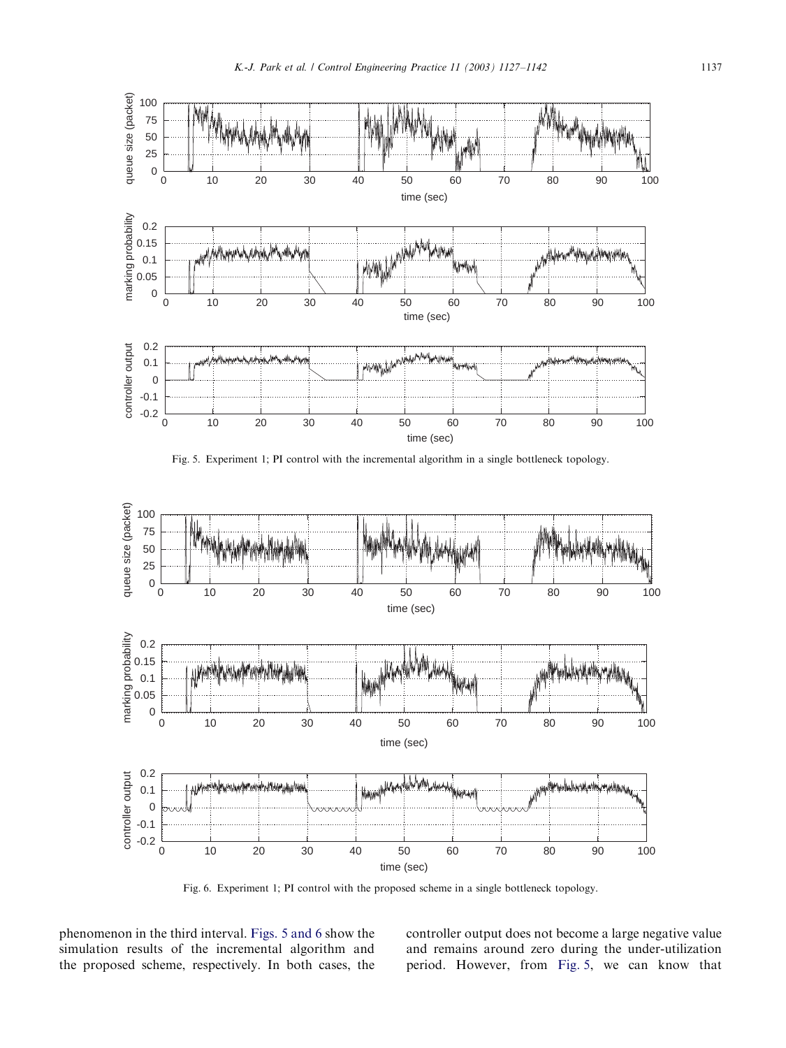

Fig. 5. Experiment 1; PI control with the incremental algorithm in a single bottleneck topology.



Fig. 6. Experiment 1; PI control with the proposed scheme in a single bottleneck topology.

phenomenon in the third interval. Figs. 5 and 6 show the simulation results of the incremental algorithm and the proposed scheme, respectively. In both cases, the controller output does not become a large negative value and remains around zero during the under-utilization period. However, from Fig. 5, we can know that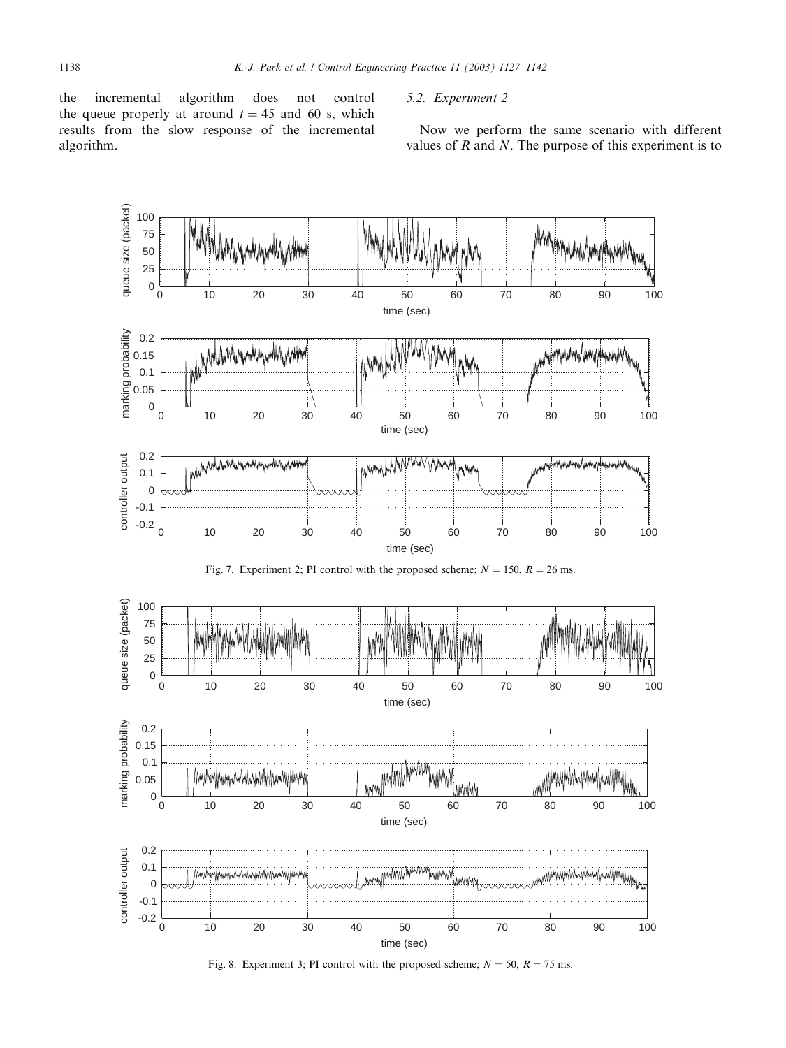<span id="page-11-0"></span>the incremental algorithm does not control the queue properly at around  $t = 45$  and 60 s, which results from the slow response of the incremental algorithm.

# 5.2. Experiment 2

Now we perform the same scenario with different values of  $R$  and  $N$ . The purpose of this experiment is to



Fig. 8. Experiment 3; PI control with the proposed scheme;  $N = 50$ ,  $R = 75$  ms.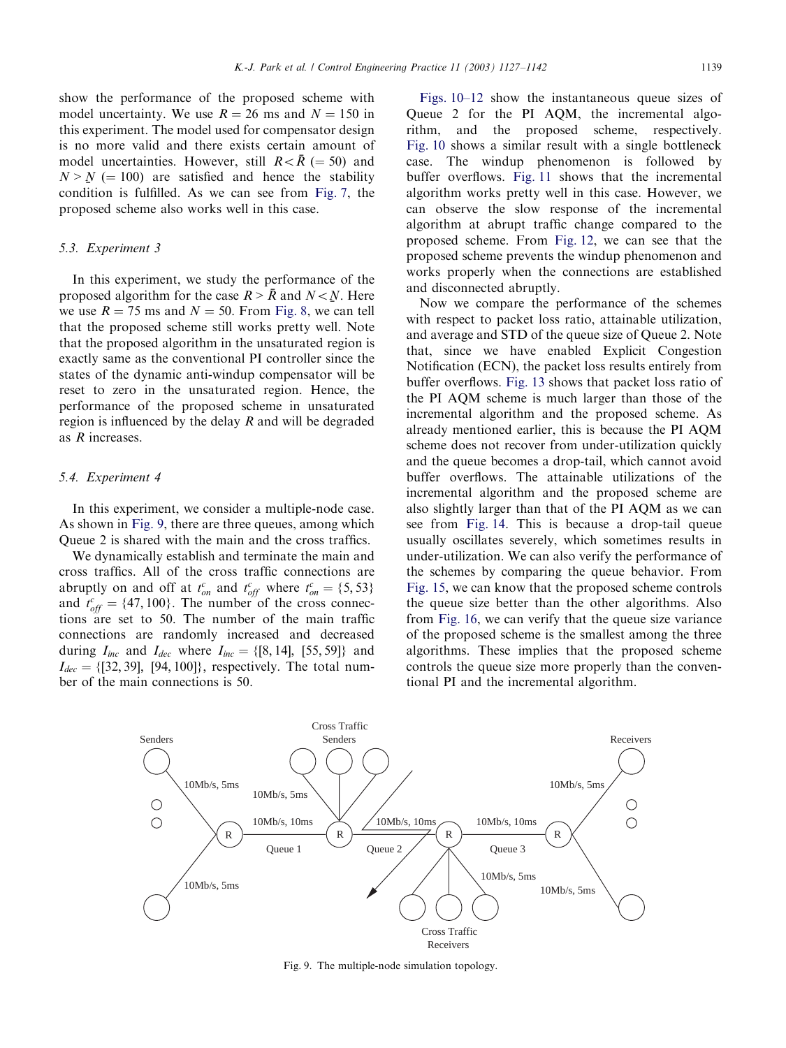<span id="page-12-0"></span>show the performance of the proposed scheme with model uncertainty. We use  $R = 26$  ms and  $N = 150$  in this experiment. The model used for compensator design is no more valid and there exists certain amount of model uncertainties. However, still  $R < \overline{R}$  (= 50) and  $N > N$  (= 100) are satisfied and hence the stability<br>condition is fulfilled. As we can see from Fig. 7, the condition is fulfilled. As we can see from [Fig. 7](#page-11-0), the proposed scheme also works well in this case.

#### 5.3. Experiment 3

In this experiment, we study the performance of the proposed algorithm for the case  $R > \bar{R}$  and  $N < N$ . Here we use  $R = 75$  ms and  $N = 50$ . From Fig. 8, we can tell we use  $R = 75$  ms and  $N = 50$ . From [Fig. 8,](#page-11-0) we can tell that the proposed scheme still works pretty well. Note that the proposed algorithm in the unsaturated region is exactly same as the conventional PI controller since the states of the dynamic anti-windup compensator will be reset to zero in the unsaturated region. Hence, the performance of the proposed scheme in unsaturated region is influenced by the delay  $R$  and will be degraded as R increases.

# 5.4. Experiment 4

In this experiment, we consider a multiple-node case. As shown in Fig. 9, there are three queues, among which Queue 2 is shared with the main and the cross traffics.

We dynamically establish and terminate the main and cross traffics. All of the cross traffic connections are abruptly on and off at  $t_{on}^c$  and  $t_{off}^c$  where  $t_{on}^c = \{5, 53\}$ and  $t_{off}^c = \{47, 100\}$ . The number of the cross connections are set to 50. The number of the main traffic connections are randomly increased and decreased during  $I_{inc}$  and  $I_{dec}$  where  $I_{inc} = \{ [8, 14], [55, 59] \}$  and  $I_{dec} = \{ [32, 39], [94, 100] \}$ , respectively. The total number of the main connections is 50.

[Figs. 10–12](#page-13-0) show the instantaneous queue sizes of Queue 2 for the PI AQM, the incremental algorithm, and the proposed scheme, respectively. [Fig. 10](#page-13-0) shows a similar result with a single bottleneck case. The windup phenomenon is followed by buffer overflows. [Fig. 11](#page-13-0) shows that the incremental algorithm works pretty well in this case. However, we can observe the slow response of the incremental algorithm at abrupt traffic change compared to the proposed scheme. From [Fig. 12,](#page-14-0) we can see that the proposed scheme prevents the windup phenomenon and works properly when the connections are established and disconnected abruptly.

Now we compare the performance of the schemes with respect to packet loss ratio, attainable utilization, and average and STD of the queue size of Queue 2. Note that, since we have enabled Explicit Congestion Notification (ECN), the packet loss results entirely from buffer overflows. [Fig. 13](#page-14-0) shows that packet loss ratio of the PI AQM scheme is much larger than those of the incremental algorithm and the proposed scheme. As already mentioned earlier, this is because the PI AQM scheme does not recover from under-utilization quickly and the queue becomes a drop-tail, which cannot avoid buffer overflows. The attainable utilizations of the incremental algorithm and the proposed scheme are also slightly larger than that of the PI AQM as we can see from [Fig. 14.](#page-14-0) This is because a drop-tail queue usually oscillates severely, which sometimes results in under-utilization. We can also verify the performance of the schemes by comparing the queue behavior. From [Fig. 15](#page-15-0), we can know that the proposed scheme controls the queue size better than the other algorithms. Also from [Fig. 16](#page-15-0), we can verify that the queue size variance of the proposed scheme is the smallest among the three algorithms. These implies that the proposed scheme controls the queue size more properly than the conventional PI and the incremental algorithm.



Fig. 9. The multiple-node simulation topology.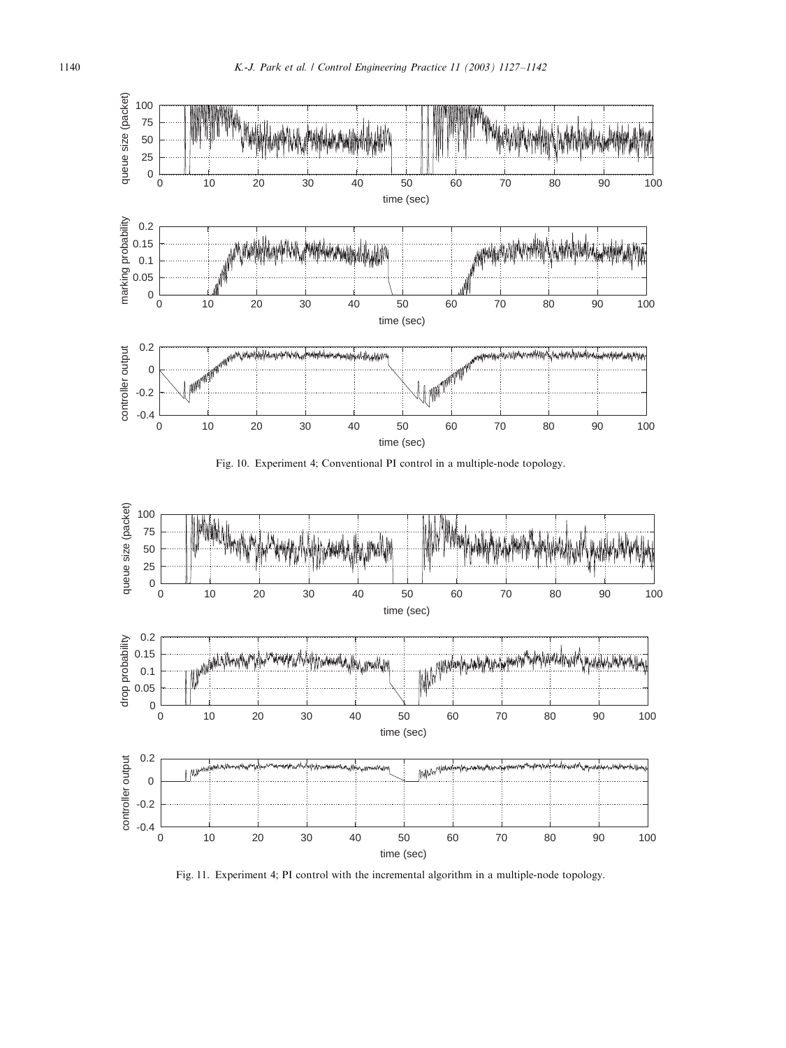<span id="page-13-0"></span>





Fig. 11. Experiment 4; PI control with the incremental algorithm in a multiple-node topology.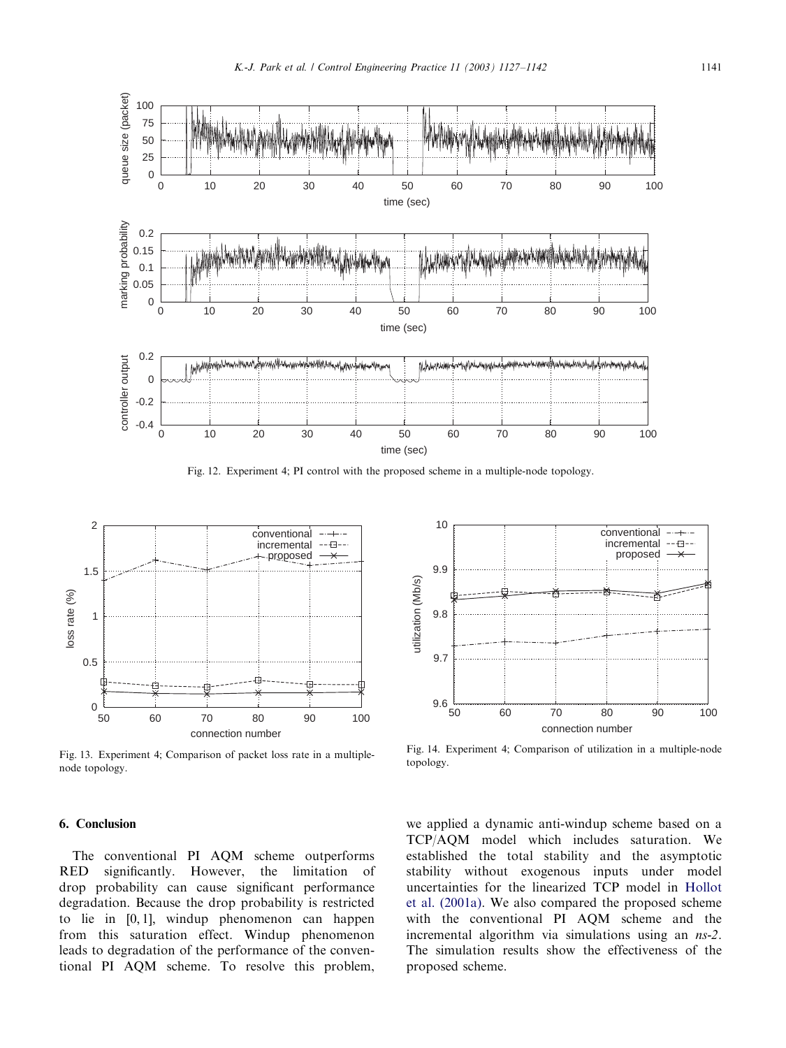

<span id="page-14-0"></span>

Fig. 12. Experiment 4; PI control with the proposed scheme in a multiple-node topology.



Fig. 13. Experiment 4; Comparison of packet loss rate in a multiplenode topology.



Fig. 14. Experiment 4; Comparison of utilization in a multiple-node topology.

# 6. Conclusion

The conventional PI AQM scheme outperforms RED significantly. However, the limitation of drop probability can cause significant performance degradation. Because the drop probability is restricted to lie in  $[0, 1]$ , windup phenomenon can happen from this saturation effect. Windup phenomenon leads to degradation of the performance of the conventional PI AQM scheme. To resolve this problem,

we applied a dynamic anti-windup scheme based on a TCP/AQM model which includes saturation. We established the total stability and the asymptotic stability without exogenous inputs under model uncertainties for the linearized TCP model in [Hollot](#page-15-0) [et al. \(2001a\).](#page-15-0) We also compared the proposed scheme with the conventional PI AQM scheme and the incremental algorithm via simulations using an *ns*-2. The simulation results show the effectiveness of the proposed scheme.